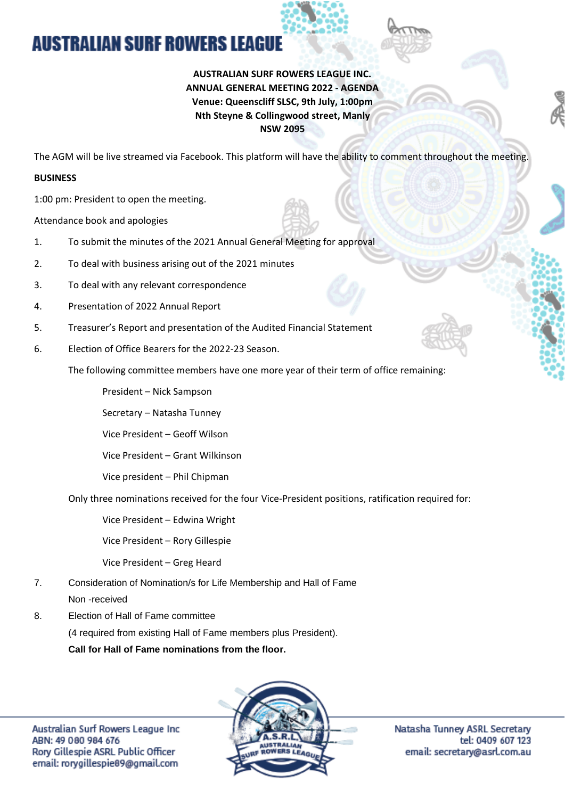## **AUSTRALIAN SURF ROWERS LEAGUE**

## **AUSTRALIAN SURF ROWERS LEAGUE INC. ANNUAL GENERAL MEETING 2022 - AGENDA Venue: Queenscliff SLSC, 9th July, 1:00pm Nth Steyne & Collingwood street, Manly NSW 2095**

The AGM will be live streamed via Facebook. This platform will have the ability to comment throughout the meeting.

## **BUSINESS**

1:00 pm: President to open the meeting.

Attendance book and apologies

- 1. To submit the minutes of the 2021 Annual General Meeting for approval
- 2. To deal with business arising out of the 2021 minutes
- 3. To deal with any relevant correspondence
- 4. Presentation of 2022 Annual Report
- 5. Treasurer's Report and presentation of the Audited Financial Statement
- 6. Election of Office Bearers for the 2022-23 Season.

The following committee members have one more year of their term of office remaining:

President – Nick Sampson

Secretary – Natasha Tunney

Vice President – Geoff Wilson

Vice President – Grant Wilkinson

Vice president – Phil Chipman

Only three nominations received for the four Vice-President positions, ratification required for:

Vice President – Edwina Wright

Vice President – Rory Gillespie

Vice President – Greg Heard

- 7. Consideration of Nomination/s for Life Membership and Hall of Fame Non -received
- 8. Election of Hall of Fame committee (4 required from existing Hall of Fame members plus President). **Call for Hall of Fame nominations from the floor.**



Natasha Tunney ASRL Secretary tel: 0409 607 123 email: secretary@asrl.com.au